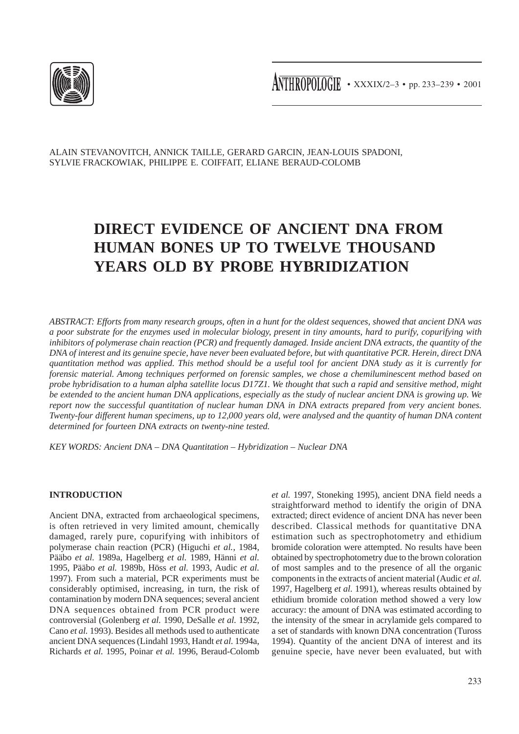

ANTHROPOLOGIE • XXXIX/2-3 • pp. 233-239 • 2001

ALAIN STEVANOVITCH, ANNICK TAILLE, GERARD GARCIN, JEAN-LOUIS SPADONI, SYLVIE FRACKOWIAK, PHILIPPE E. COIFFAIT, ELIANE BERAUD-COLOMB

# **DIRECT EVIDENCE OF ANCIENT DNA FROM HUMAN BONES UP TO TWELVE THOUSAND YEARS OLD BY PROBE HYBRIDIZATION**

*ABSTRACT: Efforts from many research groups, often in a hunt for the oldest sequences, showed that ancient DNA was a poor substrate for the enzymes used in molecular biology, present in tiny amounts, hard to purify, copurifying with inhibitors of polymerase chain reaction (PCR) and frequently damaged. Inside ancient DNA extracts, the quantity of the DNA of interest and its genuine specie, have never been evaluated before, but with quantitative PCR. Herein, direct DNA quantitation method was applied. This method should be a useful tool for ancient DNA study as it is currently for forensic material. Among techniques performed on forensic samples, we chose a chemiluminescent method based on probe hybridisation to a human alpha satellite locus D17Z1. We thought that such a rapid and sensitive method, might be extended to the ancient human DNA applications, especially as the study of nuclear ancient DNA is growing up. We report now the successful quantitation of nuclear human DNA in DNA extracts prepared from very ancient bones. Twenty-four different human specimens, up to 12,000 years old, were analysed and the quantity of human DNA content determined for fourteen DNA extracts on twenty-nine tested.*

*KEY WORDS: Ancient DNA – DNA Quantitation – Hybridization – Nuclear DNA*

# **INTRODUCTION**

Ancient DNA, extracted from archaeological specimens, is often retrieved in very limited amount, chemically damaged, rarely pure, copurifying with inhibitors of polymerase chain reaction (PCR) (Higuchi *et al.*, 1984, Pääbo *et al.* 1989a, Hagelberg *et al.* 1989, Hänni *et al.* 1995, Pääbo *et al.* 1989b, Höss *et al.* 1993, Audic *et al.* 1997). From such a material, PCR experiments must be considerably optimised, increasing, in turn, the risk of contamination by modern DNA sequences; several ancient DNA sequences obtained from PCR product were controversial (Golenberg *et al.* 1990, DeSalle *et al.* 1992, Cano *et al.* 1993). Besides all methods used to authenticate ancient DNA sequences (Lindahl 1993, Handt *et al.* 1994a, Richards *et al.* 1995, Poinar *et al.* 1996, Beraud-Colomb *et al.* 1997, Stoneking 1995), ancient DNA field needs a straightforward method to identify the origin of DNA extracted; direct evidence of ancient DNA has never been described. Classical methods for quantitative DNA estimation such as spectrophotometry and ethidium bromide coloration were attempted. No results have been obtained by spectrophotometry due to the brown coloration of most samples and to the presence of all the organic components in the extracts of ancient material (Audic *et al.* 1997, Hagelberg *et al.* 1991), whereas results obtained by ethidium bromide coloration method showed a very low accuracy: the amount of DNA was estimated according to the intensity of the smear in acrylamide gels compared to a set of standards with known DNA concentration (Tuross 1994). Quantity of the ancient DNA of interest and its genuine specie, have never been evaluated, but with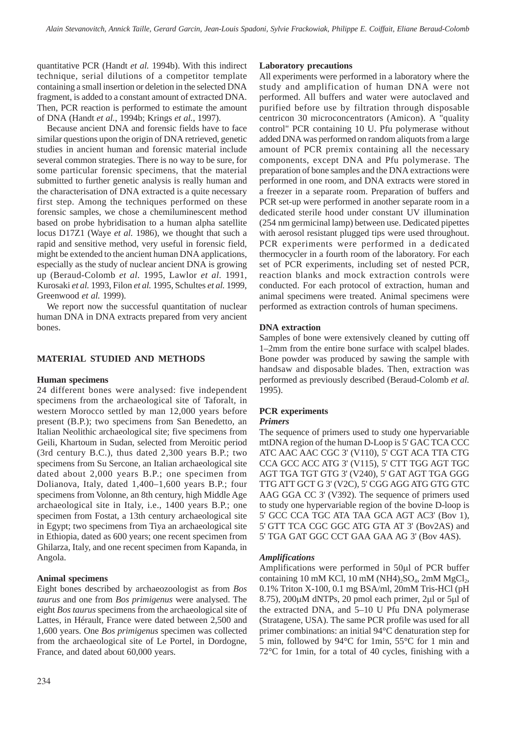quantitative PCR (Handt *et al.* 1994b). With this indirect technique, serial dilutions of a competitor template containing a small insertion or deletion in the selected DNA fragment, is added to a constant amount of extracted DNA. Then, PCR reaction is performed to estimate the amount of DNA (Handt *et al.*, 1994b; Krings *et al.*, 1997).

Because ancient DNA and forensic fields have to face similar questions upon the origin of DNA retrieved, genetic studies in ancient human and forensic material include several common strategies. There is no way to be sure, for some particular forensic specimens, that the material submitted to further genetic analysis is really human and the characterisation of DNA extracted is a quite necessary first step. Among the techniques performed on these forensic samples, we chose a chemiluminescent method based on probe hybridisation to a human alpha satellite locus D17Z1 (Waye *et al.* 1986), we thought that such a rapid and sensitive method, very useful in forensic field, might be extended to the ancient human DNA applications, especially as the study of nuclear ancient DNA is growing up (Beraud-Colomb *et al.* 1995, Lawlor *et al.* 1991, Kurosaki *et al.* 1993, Filon *et al.* 1995, Schultes *et al.* 1999, Greenwood *et al.* 1999).

We report now the successful quantitation of nuclear human DNA in DNA extracts prepared from very ancient bones.

# **MATERIAL STUDIED AND METHODS**

#### **Human specimens**

24 different bones were analysed: five independent specimens from the archaeological site of Taforalt, in western Morocco settled by man 12,000 years before present (B.P.); two specimens from San Benedetto, an Italian Neolithic archaeological site; five specimens from Geili, Khartoum in Sudan, selected from Meroitic period (3rd century B.C.), thus dated 2,300 years B.P.; two specimens from Su Sercone, an Italian archaeological site dated about 2,000 years B.P.; one specimen from Dolianova, Italy, dated 1,400–1,600 years B.P.; four specimens from Volonne, an 8th century, high Middle Age archaeological site in Italy, i.e., 1400 years B.P.; one specimen from Fostat, a 13th century archaeological site in Egypt; two specimens from Tiya an archaeological site in Ethiopia, dated as 600 years; one recent specimen from Ghilarza, Italy, and one recent specimen from Kapanda, in Angola.

# **Animal specimens**

Eight bones described by archaeozoologist as from *Bos taurus* and one from *Bos primigenus* were analysed. The eight *Bos taurus* specimens from the archaeological site of Lattes, in Hérault, France were dated between 2,500 and 1,600 years. One *Bos primigenus* specimen was collected from the archaeological site of Le Portel, in Dordogne, France, and dated about 60,000 years.

#### **Laboratory precautions**

All experiments were performed in a laboratory where the study and amplification of human DNA were not performed. All buffers and water were autoclaved and purified before use by filtration through disposable centricon 30 microconcentrators (Amicon). A "quality control" PCR containing 10 U. Pfu polymerase without added DNA was performed on random aliquots from a large amount of PCR premix containing all the necessary components, except DNA and Pfu polymerase. The preparation of bone samples and the DNA extractions were performed in one room, and DNA extracts were stored in a freezer in a separate room. Preparation of buffers and PCR set-up were performed in another separate room in a dedicated sterile hood under constant UV illumination (254 nm germicinal lamp) between use. Dedicated pipettes with aerosol resistant plugged tips were used throughout. PCR experiments were performed in a dedicated thermocycler in a fourth room of the laboratory. For each set of PCR experiments, including set of nested PCR, reaction blanks and mock extraction controls were conducted. For each protocol of extraction, human and animal specimens were treated. Animal specimens were performed as extraction controls of human specimens.

## **DNA extraction**

Samples of bone were extensively cleaned by cutting off 1–2mm from the entire bone surface with scalpel blades. Bone powder was produced by sawing the sample with handsaw and disposable blades. Then, extraction was performed as previously described (Beraud-Colomb *et al.* 1995).

### **PCR experiments**

#### *Primers*

The sequence of primers used to study one hypervariable mtDNA region of the human D-Loop is 5' GAC TCA CCC ATC AAC AAC CGC 3' (V110), 5' CGT ACA TTA CTG CCA GCC ACC ATG 3' (V115), 5' CTT TGG AGT TGC AGT TGA TGT GTG 3' (V240), 5' GAT AGT TGA GGG TTG ATT GCT G 3' (V2C), 5' CGG AGG ATG GTG GTC AAG GGA CC 3' (V392). The sequence of primers used to study one hypervariable region of the bovine D-loop is 5' GCC CCA TGC ATA TAA GCA AGT AC3' (Bov 1), 5' GTT TCA CGC GGC ATG GTA AT 3' (Bov2AS) and 5' TGA GAT GGC CCT GAA GAA AG 3' (Bov 4AS).

#### *Amplifications*

Amplifications were performed in 50µl of PCR buffer containing 10 mM KCl, 10 mM (NH4)<sub>2</sub>SO<sub>4</sub>, 2mM MgCl<sub>2</sub>, 0.1% Triton X-100, 0.1 mg BSA/ml, 20mM Tris-HCl (pH 8.75), 200µM dNTPs, 20 pmol each primer, 2µl or 5µl of the extracted DNA, and 5–10 U Pfu DNA polymerase (Stratagene, USA). The same PCR profile was used for all primer combinations: an initial 94°C denaturation step for 5 min, followed by 94°C for 1min, 55°C for 1 min and 72°C for 1min, for a total of 40 cycles, finishing with a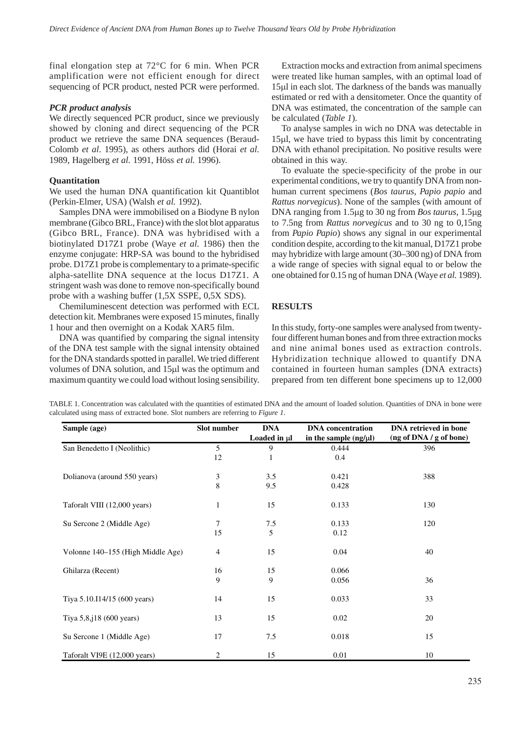final elongation step at 72°C for 6 min. When PCR amplification were not efficient enough for direct sequencing of PCR product, nested PCR were performed.

#### *PCR product analysis*

We directly sequenced PCR product, since we previously showed by cloning and direct sequencing of the PCR product we retrieve the same DNA sequences (Beraud-Colomb *et al*. 1995), as others authors did (Horai *et al.* 1989, Hagelberg *et al.* 1991, Höss *et al.* 1996).

#### **Quantitation**

We used the human DNA quantification kit Quantiblot (Perkin-Elmer, USA) (Walsh *et al.* 1992).

Samples DNA were immobilised on a Biodyne B nylon membrane (Gibco BRL, France) with the slot blot apparatus (Gibco BRL, France). DNA was hybridised with a biotinylated D17Z1 probe (Waye *et al.* 1986) then the enzyme conjugate: HRP-SA was bound to the hybridised probe. D17Z1 probe is complementary to a primate-specific alpha-satellite DNA sequence at the locus D17Z1. A stringent wash was done to remove non-specifically bound probe with a washing buffer (1,5X SSPE, 0,5X SDS).

Chemiluminescent detection was performed with ECL detection kit. Membranes were exposed 15 minutes, finally 1 hour and then overnight on a Kodak XAR5 film.

DNA was quantified by comparing the signal intensity of the DNA test sample with the signal intensity obtained for the DNA standards spotted in parallel. We tried different volumes of DNA solution, and 15µl was the optimum and maximum quantity we could load without losing sensibility.

Extraction mocks and extraction from animal specimens were treated like human samples, with an optimal load of 15µl in each slot. The darkness of the bands was manually estimated or red with a densitometer. Once the quantity of DNA was estimated, the concentration of the sample can be calculated (*Table 1*).

To analyse samples in wich no DNA was detectable in 15µl, we have tried to bypass this limit by concentrating DNA with ethanol precipitation. No positive results were obtained in this way.

To evaluate the specie-specificity of the probe in our experimental conditions, we try to quantify DNA from nonhuman current specimens (*Bos taurus, Papio papio* and *Rattus norvegicus*). None of the samples (with amount of DNA ranging from 1.5µg to 30 ng from *Bos taurus*, 1.5µg to 7.5ng from *Rattus norvegicus* and to 30 ng to 0,15ng from *Papio Papio*) shows any signal in our experimental condition despite, according to the kit manual, D17Z1 probe may hybridize with large amount (30–300 ng) of DNA from a wide range of species with signal equal to or below the one obtained for 0.15 ng of human DNA (Waye *et al.* 1989).

# **RESULTS**

In this study, forty-one samples were analysed from twentyfour different human bones and from three extraction mocks and nine animal bones used as extraction controls. Hybridization technique allowed to quantify DNA contained in fourteen human samples (DNA extracts) prepared from ten different bone specimens up to 12,000

| TABLE 1. Concentration was calculated with the quantities of estimated DNA and the amount of loaded solution. Quantities of DNA in bone were |  |
|----------------------------------------------------------------------------------------------------------------------------------------------|--|
| calculated using mass of extracted bone. Slot numbers are referring to <i>Figure 1</i> .                                                     |  |

| Sample (age)                      | Slot number    | <b>DNA</b><br>Loaded in µl | <b>DNA</b> concentration<br>in the sample $(ng/\mu l)$ | <b>DNA</b> retrieved in bone<br>(ng of DNA / g of bone) |
|-----------------------------------|----------------|----------------------------|--------------------------------------------------------|---------------------------------------------------------|
| San Benedetto I (Neolithic)       | 5              | 9                          | 0.444                                                  | 396                                                     |
|                                   | 12             | $\mathbf{1}$               | 0.4                                                    |                                                         |
| Dolianova (around 550 years)      | 3              | 3.5                        | 0.421                                                  | 388                                                     |
|                                   | 8              | 9.5                        | 0.428                                                  |                                                         |
| Taforalt VIII (12,000 years)      | 1              | 15                         | 0.133                                                  | 130                                                     |
| Su Sercone 2 (Middle Age)         | 7              | 7.5                        | 0.133                                                  | 120                                                     |
|                                   | 15             | 5                          | 0.12                                                   |                                                         |
| Volonne 140–155 (High Middle Age) | $\overline{4}$ | 15                         | 0.04                                                   | 40                                                      |
| Ghilarza (Recent)                 | 16             | 15                         | 0.066                                                  |                                                         |
|                                   | 9              | 9                          | 0.056                                                  | 36                                                      |
| Tiya 5.10.I14/15 (600 years)      | 14             | 15                         | 0.033                                                  | 33                                                      |
| Tiya $5,8,18$ (600 years)         | 13             | 15                         | 0.02                                                   | 20                                                      |
| Su Sercone 1 (Middle Age)         | 17             | 7.5                        | 0.018                                                  | 15                                                      |
| Taforalt VI9E (12,000 years)      | 2              | 15                         | 0.01                                                   | 10                                                      |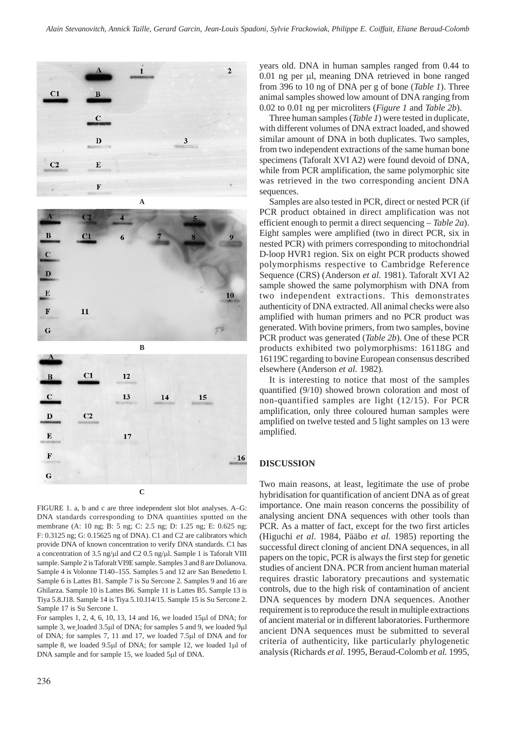





FIGURE 1. a, b and c are three independent slot blot analyses. A–G: DNA standards corresponding to DNA quantities spotted on the membrane (A: 10 ng; B: 5 ng; C: 2.5 ng; D: 1.25 ng; E: 0.625 ng; F: 0.3125 ng; G: 0.15625 ng of DNA). C1 and C2 are calibrators which provide DNA of known concentration to verify DNA standards. C1 has a concentration of 3.5 ng/ $\mu$ l and C2 0.5 ng/ $\mu$ l. Sample 1 is Taforalt VIII sample. Sample 2 is Taforalt VI9E sample. Samples 3 and 8 are Dolianova. Sample 4 is Volonne T140–155. Samples 5 and 12 are San Benedetto I. Sample 6 is Lattes B1. Sample 7 is Su Sercone 2. Samples 9 and 16 are Ghilarza. Sample 10 is Lattes B6. Sample 11 is Lattes B5. Sample 13 is Tiya 5.8.J18. Sample 14 is Tiya 5.10.I14/15. Sample 15 is Su Sercone 2. Sample 17 is Su Sercone 1.

For samples 1, 2, 4, 6, 10, 13, 14 and 16, we loaded 15µl of DNA; for sample 3, we loaded 3.5µl of DNA; for samples 5 and 9, we loaded 9µl of DNA; for samples 7, 11 and 17, we loaded 7.5µl of DNA and for sample 8, we loaded 9.5µl of DNA; for sample 12, we loaded 1µl of DNA sample and for sample 15, we loaded 5µl of DNA.

years old. DNA in human samples ranged from 0.44 to 0.01 ng per µl, meaning DNA retrieved in bone ranged from 396 to 10 ng of DNA per g of bone (*Table 1*). Three animal samples showed low amount of DNA ranging from 0.02 to 0.01 ng per microliters (*Figure 1* and *Table 2b*).

Three human samples (*Table 1*) were tested in duplicate, with different volumes of DNA extract loaded, and showed similar amount of DNA in both duplicates. Two samples, from two independent extractions of the same human bone specimens (Taforalt XVI A2) were found devoid of DNA, while from PCR amplification, the same polymorphic site was retrieved in the two corresponding ancient DNA sequences.

Samples are also tested in PCR, direct or nested PCR (if PCR product obtained in direct amplification was not efficient enough to permit a direct sequencing – *Table 2a*). Eight samples were amplified (two in direct PCR, six in nested PCR) with primers corresponding to mitochondrial D-loop HVR1 region. Six on eight PCR products showed polymorphisms respective to Cambridge Reference Sequence (CRS) (Anderson *et al.* 1981). Taforalt XVI A2 sample showed the same polymorphism with DNA from two independent extractions. This demonstrates authenticity of DNA extracted. All animal checks were also amplified with human primers and no PCR product was generated. With bovine primers, from two samples, bovine PCR product was generated (*Table 2b*). One of these PCR products exhibited two polymorphisms: 16118G and 16119C regarding to bovine European consensus described elsewhere (Anderson *et al.* 1982).

It is interesting to notice that most of the samples quantified (9/10) showed brown coloration and most of non-quantified samples are light (12/15). For PCR amplification, only three coloured human samples were amplified on twelve tested and 5 light samples on 13 were amplified.

# **DISCUSSION**

Two main reasons, at least, legitimate the use of probe hybridisation for quantification of ancient DNA as of great importance. One main reason concerns the possibility of analysing ancient DNA sequences with other tools than PCR. As a matter of fact, except for the two first articles (Higuchi *et al.* 1984, Pääbo *et al.* 1985) reporting the successful direct cloning of ancient DNA sequences, in all papers on the topic, PCR is always the first step for genetic studies of ancient DNA. PCR from ancient human material requires drastic laboratory precautions and systematic controls, due to the high risk of contamination of ancient DNA sequences by modern DNA sequences. Another requirement is to reproduce the result in multiple extractions of ancient material or in different laboratories. Furthermore ancient DNA sequences must be submitted to several criteria of authenticity, like particularly phylogenetic analysis (Richards *et al.* 1995, Beraud-Colomb *et al.* 1995,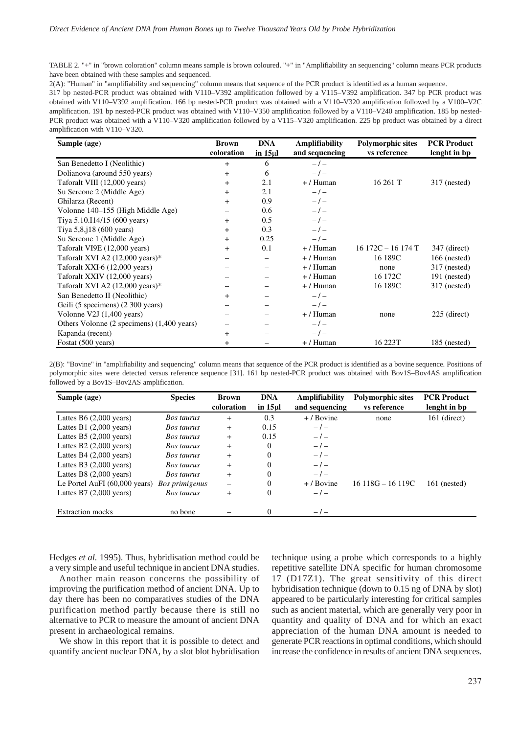TABLE 2. "+" in "brown coloration" column means sample is brown coloured. "+" in "Amplifiability an sequencing" column means PCR products have been obtained with these samples and sequenced.

2(A): "Human" in "amplifiability and sequencing" column means that sequence of the PCR product is identified as a human sequence.

317 bp nested-PCR product was obtained with V110–V392 amplification followed by a V115–V392 amplification. 347 bp PCR product was obtained with V110–V392 amplification. 166 bp nested-PCR product was obtained with a V110–V320 amplification followed by a V100–V2C amplification. 191 bp nested-PCR product was obtained with V110–V350 amplification followed by a V110–V240 amplification. 185 bp nested-PCR product was obtained with a V110–V320 amplification followed by a V115–V320 amplification. 225 bp product was obtained by a direct amplification with V110–V320.

| Sample (age)                               | <b>Brown</b>   | <b>DNA</b> | <b>Amplifiability</b> | <b>Polymorphic sites</b> | <b>PCR Product</b> |
|--------------------------------------------|----------------|------------|-----------------------|--------------------------|--------------------|
|                                            | coloration     | in $15µ$   | and sequencing        | vs reference             | lenght in bp       |
| San Benedetto I (Neolithic)                | $+$            | 6          | $-1-$                 |                          |                    |
| Dolianova (around 550 years)               | $\overline{+}$ | 6          | $-1-$                 |                          |                    |
| Taforalt VIII (12,000 years)               | $+$            | 2.1        | $+/$ Human            | 16261T                   | $317$ (nested)     |
| Su Sercone 2 (Middle Age)                  | $^{+}$         | 2.1        | $-/-$                 |                          |                    |
| Ghilarza (Recent)                          | $\ddot{}$      | 0.9        | $-1-$                 |                          |                    |
| Volonne 140–155 (High Middle Age)          |                | 0.6        | $-1-$                 |                          |                    |
| Tiya 5.10.114/15 (600 years)               | $+$            | 0.5        | $-/-$                 |                          |                    |
| Tiya $5,8,18$ (600 years)                  | $\ddot{}$      | 0.3        | $-1-$                 |                          |                    |
| Su Sercone 1 (Middle Age)                  | $+$            | 0.25       | $-1-$                 |                          |                    |
| Taforalt VI9E (12,000 years)               | $+$            | 0.1        | $+/$ Human            | $16172C - 16174T$        | 347 (direct)       |
| Taforalt XVI A2 $(12,000 \text{ years})$ * |                |            | $+/$ Human            | 16 189C                  | $166$ (nested)     |
| Taforalt XXI-6 (12,000 years)              |                |            | $+/$ Human            | none                     | 317 (nested)       |
| Taforalt XXIV (12,000 years)               |                |            | $+/$ Human            | 16 172C                  | $191$ (nested)     |
| Taforalt XVI A2 $(12,000 \text{ years})$ * |                |            | $+/$ Human            | 16 189C                  | 317 (nested)       |
| San Benedetto II (Neolithic)               | $+$            |            | $-1-$                 |                          |                    |
| Geili (5 specimens) (2 300 years)          |                |            | $-1-$                 |                          |                    |
| Volonne V2J $(1,400 \text{ years})$        |                |            | $+/$ Human            | none                     | $225$ (direct)     |
| Others Volonne (2 specimens) (1,400 years) |                |            | $-/-$                 |                          |                    |
| Kapanda (recent)                           | $^{+}$         |            | $-1$                  |                          |                    |
| Fostat (500 years)                         | $\ddot{}$      |            | $+/$ Human            | 16 223T                  | $185$ (nested)     |

2(B): "Bovine" in "amplifiability and sequencing" column means that sequence of the PCR product is identified as a bovine sequence. Positions of polymorphic sites were detected versus reference sequence [31]. 161 bp nested-PCR product was obtained with Bov1S–Bov4AS amplification followed by a Bov1S–Bov2AS amplification.

| Sample (age)                            | <b>Species</b>    | <b>Brown</b><br>coloration | <b>DNA</b><br>in $15 \mu$ | Amplifiability<br>and sequencing | <b>Polymorphic sites</b><br>vs reference | <b>PCR Product</b><br>lenght in bp |
|-----------------------------------------|-------------------|----------------------------|---------------------------|----------------------------------|------------------------------------------|------------------------------------|
| Lattes B6 $(2,000 \text{ years})$       | Bos taurus        | $+$                        | 0.3                       | $+$ / Bovine                     | none                                     | 161 (direct)                       |
| Lattes B1 $(2,000 \text{ years})$       | Bos taurus        | $^{+}$                     | 0.15                      | $-1-$                            |                                          |                                    |
| Lattes B5 $(2,000 \text{ years})$       | <b>Bos taurus</b> | $^{+}$                     | 0.15                      | $-1-$                            |                                          |                                    |
| Lattes B2 $(2,000 \text{ years})$       | Bos taurus        | $^{+}$                     | 0                         | $-1-$                            |                                          |                                    |
| Lattes B4 $(2,000 \text{ years})$       | <b>Bos taurus</b> | $^{+}$                     | $\Omega$                  | $-1$                             |                                          |                                    |
| Lattes B3 $(2,000 \text{ years})$       | Bos taurus        | $^{+}$                     | 0                         | $-1$                             |                                          |                                    |
| Lattes B8 $(2,000 \text{ years})$       | <b>Bos taurus</b> | $\ddot{}$                  | 0                         | $-1$                             |                                          |                                    |
| Le Portel AuFI $(60,000 \text{ years})$ | Bos primigenus    |                            | 0                         | $+$ / Bovine                     | $16118G - 16119C$                        | $161$ (nested)                     |
| Lattes B7 $(2,000 \text{ years})$       | <b>Bos taurus</b> | $\ddot{}$                  | 0                         | $-1$                             |                                          |                                    |
| <b>Extraction mocks</b>                 | no bone           |                            | 0                         | $-1-$                            |                                          |                                    |

Hedges *et al.* 1995). Thus, hybridisation method could be a very simple and useful technique in ancient DNA studies.

Another main reason concerns the possibility of improving the purification method of ancient DNA. Up to day there has been no comparatives studies of the DNA purification method partly because there is still no alternative to PCR to measure the amount of ancient DNA present in archaeological remains.

We show in this report that it is possible to detect and quantify ancient nuclear DNA, by a slot blot hybridisation technique using a probe which corresponds to a highly repetitive satellite DNA specific for human chromosome 17 (D17Z1). The great sensitivity of this direct hybridisation technique (down to 0.15 ng of DNA by slot) appeared to be particularly interesting for critical samples such as ancient material, which are generally very poor in quantity and quality of DNA and for which an exact appreciation of the human DNA amount is needed to generate PCR reactions in optimal conditions, which should increase the confidence in results of ancient DNA sequences.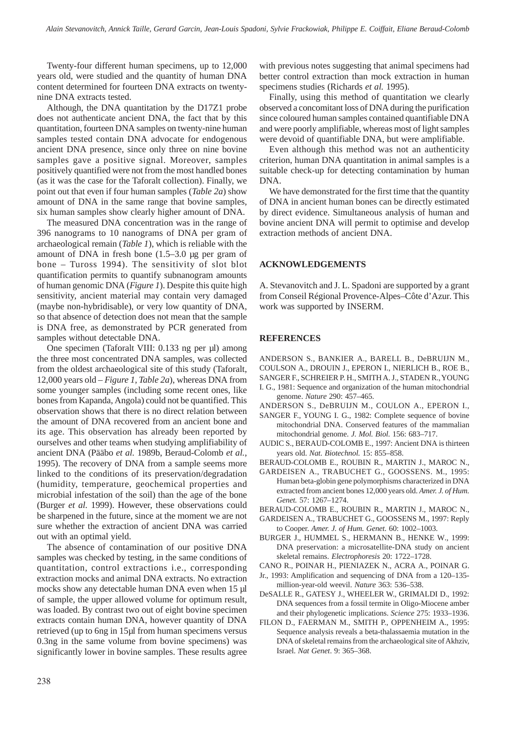Twenty-four different human specimens, up to 12,000 years old, were studied and the quantity of human DNA content determined for fourteen DNA extracts on twentynine DNA extracts tested.

Although, the DNA quantitation by the D17Z1 probe does not authenticate ancient DNA, the fact that by this quantitation, fourteen DNA samples on twenty-nine human samples tested contain DNA advocate for endogenous ancient DNA presence, since only three on nine bovine samples gave a positive signal. Moreover, samples positively quantified were not from the most handled bones (as it was the case for the Taforalt collection). Finally, we point out that even if four human samples (*Table 2a*) show amount of DNA in the same range that bovine samples, six human samples show clearly higher amount of DNA.

The measured DNA concentration was in the range of 396 nanograms to 10 nanograms of DNA per gram of archaeological remain (*Table 1*), which is reliable with the amount of DNA in fresh bone (1.5–3.0 µg per gram of bone – Tuross 1994). The sensitivity of slot blot quantification permits to quantify subnanogram amounts of human genomic DNA (*Figure 1*). Despite this quite high sensitivity, ancient material may contain very damaged (maybe non-hybridisable), or very low quantity of DNA, so that absence of detection does not mean that the sample is DNA free, as demonstrated by PCR generated from samples without detectable DNA.

One specimen (Taforalt VIII: 0.133 ng per µl) among the three most concentrated DNA samples, was collected from the oldest archaeological site of this study (Taforalt, 12,000 years old – *Figure 1, Table 2a*), whereas DNA from some younger samples (including some recent ones, like bones from Kapanda, Angola) could not be quantified. This observation shows that there is no direct relation between the amount of DNA recovered from an ancient bone and its age. This observation has already been reported by ourselves and other teams when studying amplifiability of ancient DNA (Pääbo *et al.* 1989b, Beraud-Colomb *et al.*, 1995). The recovery of DNA from a sample seems more linked to the conditions of its preservation/degradation (humidity, temperature, geochemical properties and microbial infestation of the soil) than the age of the bone (Burger *et al.* 1999). However, these observations could be sharpened in the future, since at the moment we are not sure whether the extraction of ancient DNA was carried out with an optimal yield.

The absence of contamination of our positive DNA samples was checked by testing, in the same conditions of quantitation, control extractions i.e., corresponding extraction mocks and animal DNA extracts. No extraction mocks show any detectable human DNA even when 15 µl of sample, the upper allowed volume for optimum result, was loaded. By contrast two out of eight bovine specimen extracts contain human DNA, however quantity of DNA retrieved (up to 6ng in 15µl from human specimens versus 0.3ng in the same volume from bovine specimens) was significantly lower in bovine samples. These results agree

with previous notes suggesting that animal specimens had better control extraction than mock extraction in human specimens studies (Richards *et al.* 1995).

Finally, using this method of quantitation we clearly observed a concomitant loss of DNA during the purification since coloured human samples contained quantifiable DNA and were poorly amplifiable, whereas most of light samples were devoid of quantifiable DNA, but were amplifiable.

Even although this method was not an authenticity criterion, human DNA quantitation in animal samples is a suitable check-up for detecting contamination by human DNA.

We have demonstrated for the first time that the quantity of DNA in ancient human bones can be directly estimated by direct evidence. Simultaneous analysis of human and bovine ancient DNA will permit to optimise and develop extraction methods of ancient DNA.

## **ACKNOWLEDGEMENTS**

A. Stevanovitch and J. L. Spadoni are supported by a grant from Conseil Régional Provence-Alpes–Côte d'Azur. This work was supported by INSERM.

## **REFERENCES**

ANDERSON S., BANKIER A., BARELL B., DeBRUIJN M., COULSON A., DROUIN J., EPERON I., NIERLICH B., ROE B., SANGER F., SCHREIER P. H., SMITH A. J., STADEN R., YOUNG

- I. G., 1981: Sequence and organization of the human mitochondrial genome. *Nature* 290: 457–465.
- ANDERSON S., DeBRUIJN M., COULON A., EPERON I.,
- SANGER F., YOUNG I. G., 1982: Complete sequence of bovine mitochondrial DNA. Conserved features of the mammalian mitochondrial genome. *J. Mol. Biol.* 156: 683–717.
- AUDIC S., BERAUD-COLOMB E., 1997: Ancient DNA is thirteen years old. *Nat. Biotechnol.* 15: 855–858.
- BERAUD-COLOMB E., ROUBIN R., MARTIN J., MAROC N.,
- GARDEISEN A., TRABUCHET G., GOOSSENS. M., 1995: Human beta-globin gene polymorphisms characterized in DNA extracted from ancient bones 12,000 years old. *Amer. J. of Hum. Genet.* 57: 1267–1274.

BERAUD-COLOMB E., ROUBIN R., MARTIN J., MAROC N.,

- GARDEISEN A., TRABUCHET G., GOOSSENS M., 1997: Reply to Cooper. *Amer. J. of Hum. Genet.* 60: 1002–1003.
- BURGER J., HUMMEL S., HERMANN B., HENKE W., 1999: DNA preservation: a microsatellite-DNA study on ancient skeletal remains. *Electrophoresis* 20: 1722–1728.
- CANO R., POINAR H., PIENIAZEK N., ACRA A., POINAR G.
- Jr., 1993: Amplification and sequencing of DNA from a 120–135 million-year-old weevil. *Nature* 363: 536–538.
- DeSALLE R., GATESY J., WHEELER W., GRIMALDI D., 1992: DNA sequences from a fossil termite in Oligo-Miocene amber and their phylogenetic implications. *Science* 275: 1933–1936.
- FILON D., FAERMAN M., SMITH P., OPPENHEIM A., 1995: Sequence analysis reveals a beta-thalassaemia mutation in the DNA of skeletal remains from the archaeological site of Akhziv, Israel. *Nat Genet*. 9: 365–368.